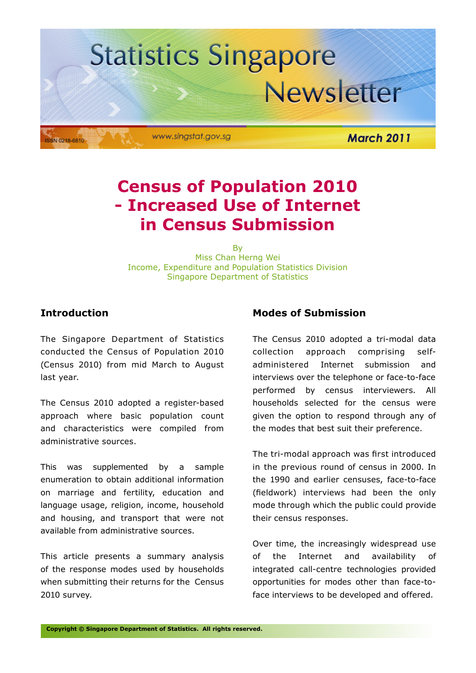

### **Census of Population 2010 - Increased Use of Internet in Census Submission**

By

Miss Chan Herng Wei Income, Expenditure and Population Statistics Division Singapore Department of Statistics

#### **Introduction**

The Singapore Department of Statistics conducted the Census of Population 2010 (Census 2010) from mid March to August last year.

The Census 2010 adopted a register-based approach where basic population count and characteristics were compiled from administrative sources.

This was supplemented by a sample enumeration to obtain additional information on marriage and fertility, education and language usage, religion, income, household and housing, and transport that were not available from administrative sources.

This article presents a summary analysis of the response modes used by households when submitting their returns for the Census 2010 survey.

#### **Modes of Submission**

The Census 2010 adopted a tri-modal data collection approach comprising selfadministered Internet submission and interviews over the telephone or face-to-face performed by census interviewers. All households selected for the census were given the option to respond through any of the modes that best suit their preference.

The tri-modal approach was first introduced in the previous round of census in 2000. In the 1990 and earlier censuses, face-to-face (fieldwork) interviews had been the only mode through which the public could provide their census responses.

Over time, the increasingly widespread use of the Internet and availability of integrated call-centre technologies provided opportunities for modes other than face-toface interviews to be developed and offered.

**Copyright © Singapore Department of Statistics. All rights reserved.**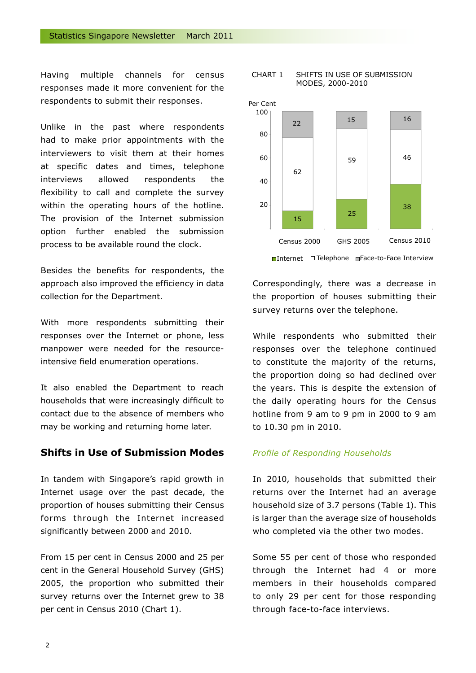Having multiple channels for census responses made it more convenient for the respondents to submit their responses.

Unlike in the past where respondents had to make prior appointments with the interviewers to visit them at their homes at specific dates and times, telephone interviews allowed respondents the flexibility to call and complete the survey within the operating hours of the hotline. The provision of the Internet submission option further enabled the submission process to be available round the clock.

Besides the benefits for respondents, the approach also improved the efficiency in data collection for the Department.

With more respondents submitting their responses over the Internet or phone, less manpower were needed for the resourceintensive field enumeration operations.

It also enabled the Department to reach households that were increasingly difficult to contact due to the absence of members who may be working and returning home later.

#### **Shifts in Use of Submission Modes**

In tandem with Singapore's rapid growth in Internet usage over the past decade, the proportion of houses submitting their Census forms through the Internet increased significantly between 2000 and 2010.

From 15 per cent in Census 2000 and 25 per cent in the General Household Survey (GHS) 2005, the proportion who submitted their survey returns over the Internet grew to 38 per cent in Census 2010 (Chart 1).

#### CHART 1 SHIFTS IN USE OF SUBMISSION MODES, 2000-2010



Correspondingly, there was a decrease in the proportion of houses submitting their survey returns over the telephone.

While respondents who submitted their responses over the telephone continued to constitute the majority of the returns, the proportion doing so had declined over the years. This is despite the extension of the daily operating hours for the Census hotline from 9 am to 9 pm in 2000 to 9 am to 10.30 pm in 2010.

#### *Profile of Responding Households*

In 2010, households that submitted their returns over the Internet had an average household size of 3.7 persons (Table 1). This is larger than the average size of households who completed via the other two modes.

Some 55 per cent of those who responded through the Internet had 4 or more members in their households compared to only 29 per cent for those responding through face-to-face interviews.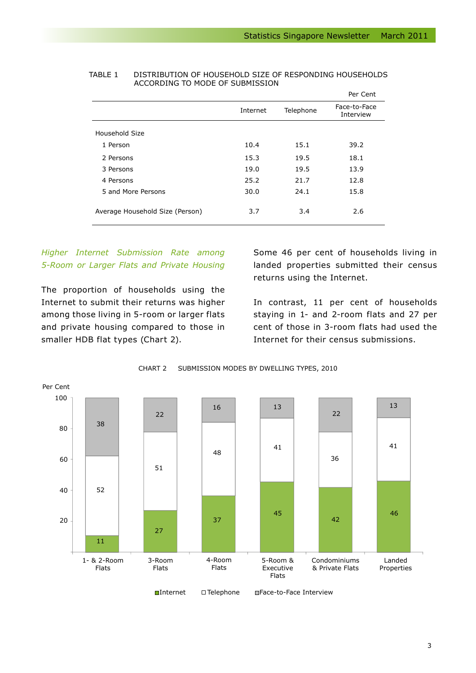|                                 |          |           | Per Cent                  |
|---------------------------------|----------|-----------|---------------------------|
|                                 | Internet | Telephone | Face-to-Face<br>Interview |
| Household Size                  |          |           |                           |
| 1 Person                        | 10.4     | 15.1      | 39.2                      |
| 2 Persons                       | 15.3     | 19.5      | 18.1                      |
| 3 Persons                       | 19.0     | 19.5      | 13.9                      |
| 4 Persons                       | 25.2     | 21.7      | 12.8                      |
| 5 and More Persons              | 30.0     | 24.1      | 15.8                      |
| Average Household Size (Person) | 3.7      | 3.4       | 2.6                       |

#### TABLE 1 DISTRIBUTION OF HOUSEHOLD SIZE OF RESPONDING HOUSEHOLDS ACCORDING TO MODE OF SUBMISSION

#### *Higher Internet Submission Rate among 5-Room or Larger Flats and Private Housing*

The proportion of households using the Internet to submit their returns was higher among those living in 5-room or larger flats and private housing compared to those in smaller HDB flat types (Chart 2).

Some 46 per cent of households living in landed properties submitted their census returns using the Internet.

In contrast, 11 per cent of households staying in 1- and 2-room flats and 27 per cent of those in 3-room flats had used the Internet for their census submissions.



CHART 2 SUBMISSION MODES BY DWELLING TYPES, 2010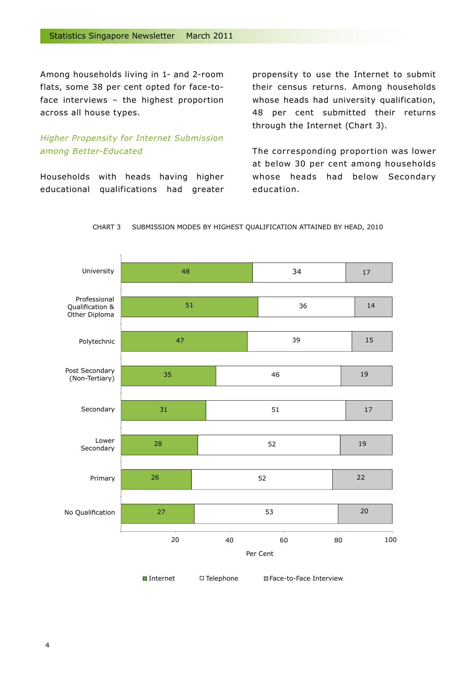Among households living in 1- and 2-room flats, some 38 per cent opted for face-toface interviews – the highest proportion across all house types.

#### *Higher Propensity for Internet Submission among Better-Educated*

Households with heads having higher educational qualifications had greater propensity to use the Internet to submit their census returns. Among households whose heads had university qualification, 48 per cent submitted their returns through the Internet (Chart 3).

The corresponding proportion was lower at below 30 per cent among households whose heads had below Secondary education.



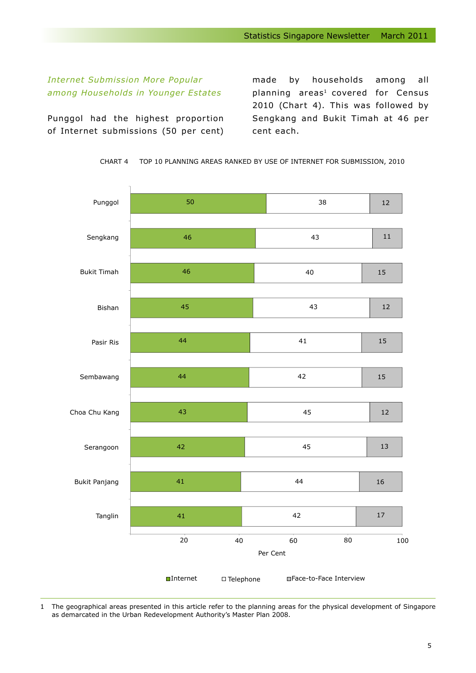#### *Internet Submission More Popular among Households in Younger Estates*

Punggol had the highest proportion of Internet submissions (50 per cent) made by households among all planning areas<sup>1</sup> covered for Census 2010 (Chart 4). This was followed by Sengkang and Bukit Timah at 46 per cent each.



CHART 4 TOP 10 PLANNING AREAS RANKED BY USE OF INTERNET FOR SUBMISSION, 2010

1 The geographical areas presented in this article refer to the planning areas for the physical development of Singapore as demarcated in the Urban Redevelopment Authority's Master Plan 2008.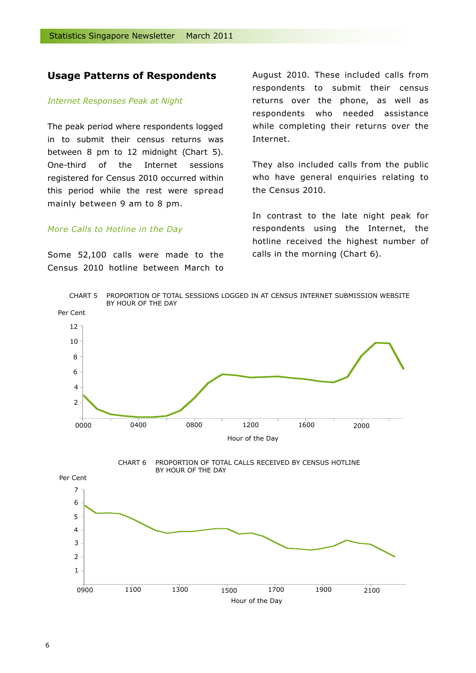#### **Usage Patterns of Respondents**

#### *Internet Responses Peak at Night*

The peak period where respondents logged in to submit their census returns was between 8 pm to 12 midnight (Chart 5). One-third of the Internet sessions registered for Census 2010 occurred within this period while the rest were spread mainly between 9 am to 8 pm.

#### *More Calls to Hotline in the Day*

Some 52,100 calls were made to the Census 2010 hotline between March to

August 2010. These included calls from respondents to submit their census returns over the phone, as well as respondents who needed assistance while completing their returns over the Internet.

They also included calls from the public who have general enquiries relating to the Census 2010.

In contrast to the late night peak for respondents using the Internet, the hotline received the highest number of calls in the morning (Chart 6).

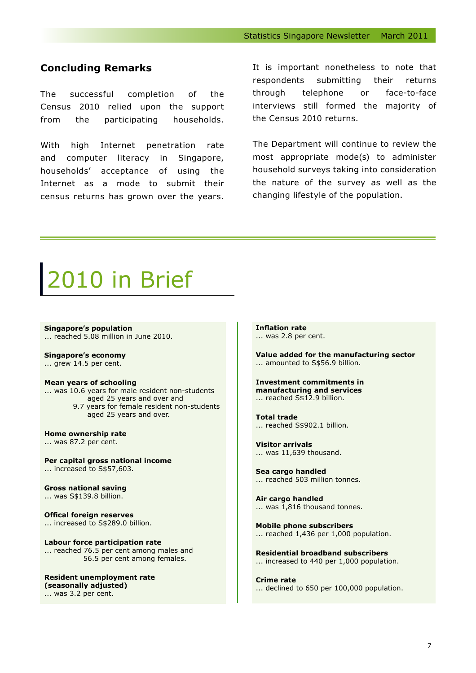#### **Concluding Remarks**

The successful completion of the Census 2010 relied upon the support from the participating households.

With high Internet penetration rate and computer literacy in Singapore, households' acceptance of using the Internet as a mode to submit their census returns has grown over the years.

It is important nonetheless to note that respondents submitting their returns through telephone or face-to-face interviews still formed the majority of the Census 2010 returns.

The Department will continue to review the most appropriate mode(s) to administer household surveys taking into consideration the nature of the survey as well as the changing lifestyle of the population.

## 10 in Brief

**Singapore's population** ... reached 5.08 million in June 2010.

**Singapore's economy** ... grew 14.5 per cent.

#### **Mean years of schooling**

... was 10.6 years for male resident non-students aged 25 years and over and 9.7 years for female resident non-students aged 25 years and over.

**Home ownership rate** ... was 87.2 per cent.

**Per capital gross national income** ... increased to S\$57,603.

**Gross national saving** ... was S\$139.8 billion.

**Offical foreign reserves** ... increased to S\$289.0 billion.

**Labour force participation rate** ... reached 76.5 per cent among males and 56.5 per cent among females.

**Resident unemployment rate (seasonally adjusted)** ... was 3.2 per cent.

**Inflation rate** ... was 2.8 per cent.

**Value added for the manufacturing sector** ... amounted to S\$56.9 billion.

**Investment commitments in manufacturing and services** ... reached S\$12.9 billion.

**Total trade** ... reached S\$902.1 billion.

**Visitor arrivals** ... was 11,639 thousand.

**Sea cargo handled** ... reached 503 million tonnes.

**Air cargo handled** ... was 1,816 thousand tonnes.

**Mobile phone subscribers** ... reached 1,436 per 1,000 population.

**Residential broadband subscribers** ... increased to 440 per 1,000 population.

**Crime rate** ... declined to 650 per 100,000 population.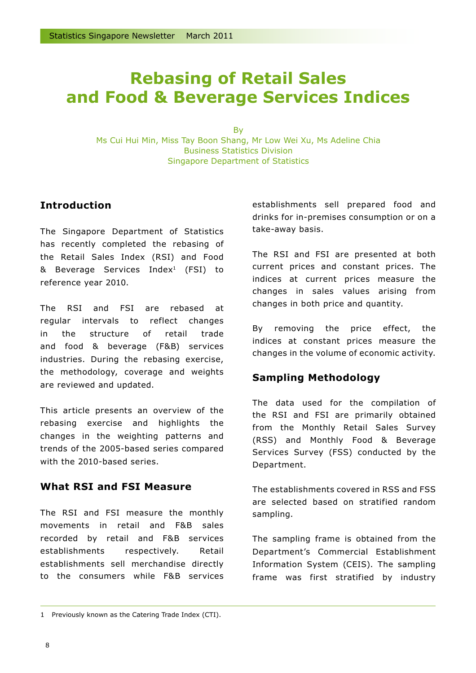### **Rebasing of Retail Sales and Food & Beverage Services Indices**

**B**<sub>v</sub> Ms Cui Hui Min, Miss Tay Boon Shang, Mr Low Wei Xu, Ms Adeline Chia Business Statistics Division Singapore Department of Statistics

#### **Introduction**

The Singapore Department of Statistics has recently completed the rebasing of the Retail Sales Index (RSI) and Food & Beverage Services Index1 (FSI) to reference year 2010.

The RSI and FSI are rebased at regular intervals to reflect changes in the structure of retail trade and food & beverage (F&B) services industries. During the rebasing exercise, the methodology, coverage and weights are reviewed and updated.

This article presents an overview of the rebasing exercise and highlights the changes in the weighting patterns and trends of the 2005-based series compared with the 2010-based series.

#### **What RSI and FSI Measure**

The RSI and FSI measure the monthly movements in retail and F&B sales recorded by retail and F&B services establishments respectively. Retail establishments sell merchandise directly to the consumers while F&B services

establishments sell prepared food and drinks for in-premises consumption or on a take-away basis.

The RSI and FSI are presented at both current prices and constant prices. The indices at current prices measure the changes in sales values arising from changes in both price and quantity.

By removing the price effect, the indices at constant prices measure the changes in the volume of economic activity.

#### **Sampling Methodology**

The data used for the compilation of the RSI and FSI are primarily obtained from the Monthly Retail Sales Survey (RSS) and Monthly Food & Beverage Services Survey (FSS) conducted by the Department.

The establishments covered in RSS and FSS are selected based on stratified random sampling.

The sampling frame is obtained from the Department's Commercial Establishment Information System (CEIS). The sampling frame was first stratified by industry

<sup>1</sup> Previously known as the Catering Trade Index (CTI).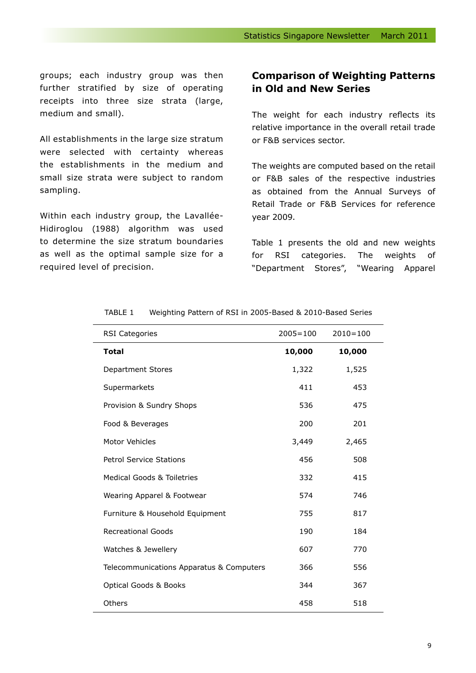groups; each industry group was then further stratified by size of operating receipts into three size strata (large, medium and small).

All establishments in the large size stratum were selected with certainty whereas the establishments in the medium and small size strata were subject to random sampling.

Within each industry group, the Lavallée-Hidiroglou (1988) algorithm was used to determine the size stratum boundaries as well as the optimal sample size for a required level of precision.

#### **Comparison of Weighting Patterns in Old and New Series**

The weight for each industry reflects its relative importance in the overall retail trade or F&B services sector.

The weights are computed based on the retail or F&B sales of the respective industries as obtained from the Annual Surveys of Retail Trade or F&B Services for reference year 2009.

Table 1 presents the old and new weights for RSI categories. The weights of "Department Stores", "Wearing Apparel

| <b>RSI Categories</b>                    | $2005 = 100$ | $2010 = 100$ |
|------------------------------------------|--------------|--------------|
| <b>Total</b>                             | 10,000       | 10,000       |
| <b>Department Stores</b>                 | 1,322        | 1,525        |
| Supermarkets                             | 411          | 453          |
| Provision & Sundry Shops                 | 536          | 475          |
| Food & Beverages                         | 200          | 201          |
| Motor Vehicles                           | 3,449        | 2,465        |
| <b>Petrol Service Stations</b>           | 456          | 508          |
| Medical Goods & Toiletries               | 332          | 415          |
| Wearing Apparel & Footwear               | 574          | 746          |
| Furniture & Household Equipment          | 755          | 817          |
| <b>Recreational Goods</b>                | 190          | 184          |
| Watches & Jewellery                      | 607          | 770          |
| Telecommunications Apparatus & Computers | 366          | 556          |
| <b>Optical Goods &amp; Books</b>         | 344          | 367          |
| Others                                   | 458          | 518          |

#### TABLE 1 Weighting Pattern of RSI in 2005-Based & 2010-Based Series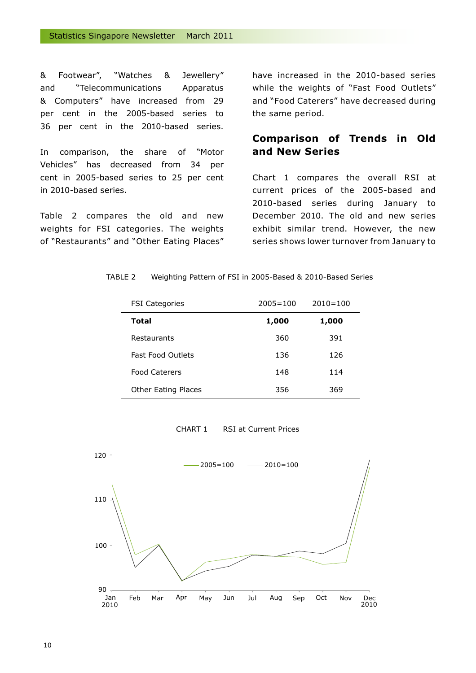& Footwear", "Watches & Jewellery" and "Telecommunications Apparatus & Computers" have increased from 29 per cent in the 2005-based series to 36 per cent in the 2010-based series.

In comparison, the share of "Motor Vehicles" has decreased from 34 per cent in 2005-based series to 25 per cent in 2010-based series.

Table 2 compares the old and new weights for FSI categories. The weights of "Restaurants" and "Other Eating Places" have increased in the 2010-based series while the weights of "Fast Food Outlets" and "Food Caterers" have decreased during the same period.

#### **Comparison of Trends in Old and New Series**

Chart 1 compares the overall RSI at current prices of the 2005-based and 2010-based series during January to December 2010. The old and new series exhibit similar trend. However, the new series shows lower turnover from January to

| TABLE 2 |  | Weighting Pattern of FSI in 2005-Based & 2010-Based Series |  |
|---------|--|------------------------------------------------------------|--|
|---------|--|------------------------------------------------------------|--|

| <b>FSI Categories</b>      | $2005 = 100$ | $2010 = 100$ |
|----------------------------|--------------|--------------|
| Total                      | 1,000        | 1,000        |
| Restaurants                | 360          | 391          |
| <b>Fast Food Outlets</b>   | 136          | 126          |
| <b>Food Caterers</b>       | 148          | 114          |
| <b>Other Eating Places</b> | 356          | 369          |

CHART 1 RSI at Current Prices

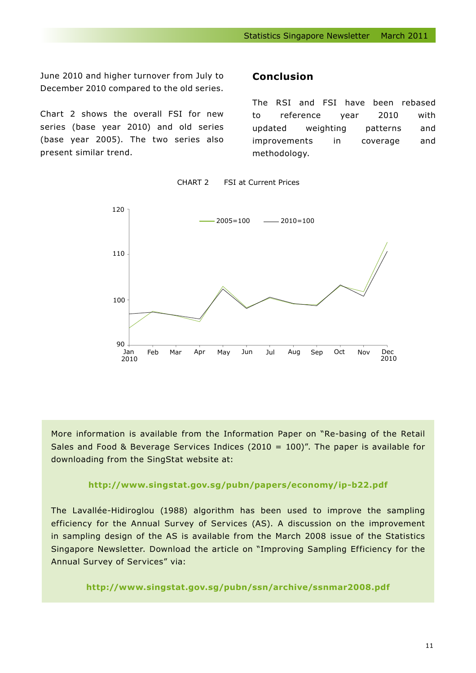June 2010 and higher turnover from July to December 2010 compared to the old series.

Chart 2 shows the overall FSI for new series (base year 2010) and old series (base year 2005). The two series also present similar trend.

#### **Conclusion**

The RSI and FSI have been rebased to reference year 2010 with updated weighting patterns and improvements in coverage and methodology.



CHART 2 FSI at Current Prices

More information is available from the Information Paper on "Re-basing of the Retail Sales and Food & Beverage Services Indices (2010 = 100)". The paper is available for downloading from the SingStat website at:

#### **http://www.singstat.gov.sg/pubn/papers/economy/ip-b22.pdf**

The Lavallée-Hidiroglou (1988) algorithm has been used to improve the sampling efficiency for the Annual Survey of Services (AS). A discussion on the improvement in sampling design of the AS is available from the March 2008 issue of the Statistics Singapore Newsletter. Download the article on "Improving Sampling Efficiency for the Annual Survey of Services" via:

#### **http://www.singstat.gov.sg/pubn/ssn/archive/ssnmar2008.pdf**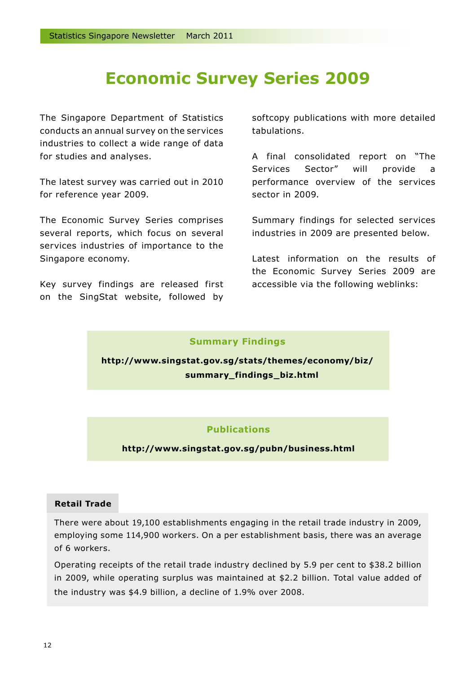### **Economic Survey Series 2009**

The Singapore Department of Statistics conducts an annual survey on the services industries to collect a wide range of data for studies and analyses.

The latest survey was carried out in 2010 for reference year 2009.

The Economic Survey Series comprises several reports, which focus on several services industries of importance to the Singapore economy.

Key survey findings are released first on the SingStat website, followed by softcopy publications with more detailed tabulations.

A final consolidated report on "The Services Sector" will provide a performance overview of the services sector in 2009.

Summary findings for selected services industries in 2009 are presented below.

Latest information on the results of the Economic Survey Series 2009 are accessible via the following weblinks:

#### **Summary Findings**

**http://www.singstat.gov.sg/stats/themes/economy/biz/ summary\_findings\_biz.html**

#### **Publications**

**http://www.singstat.gov.sg/pubn/business.html**

#### **Retail Trade**

There were about 19,100 establishments engaging in the retail trade industry in 2009, employing some 114,900 workers. On a per establishment basis, there was an average of 6 workers.

Operating receipts of the retail trade industry declined by 5.9 per cent to \$38.2 billion in 2009, while operating surplus was maintained at \$2.2 billion. Total value added of the industry was \$4.9 billion, a decline of 1.9% over 2008.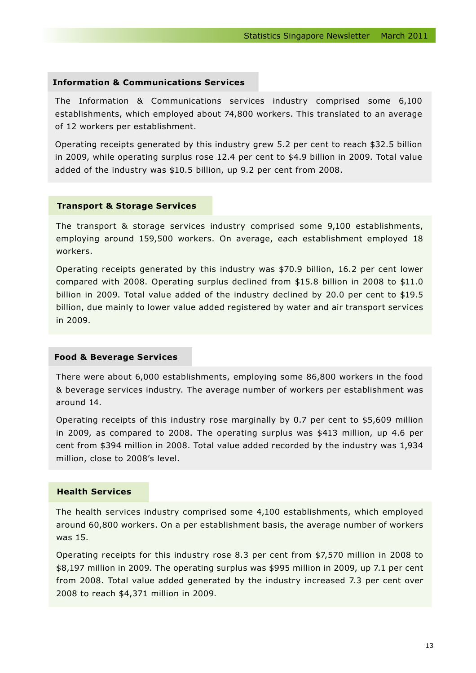#### **Information & Communications Services**

The Information & Communications services industry comprised some 6,100 establishments, which employed about 74,800 workers. This translated to an average of 12 workers per establishment.

Operating receipts generated by this industry grew 5.2 per cent to reach \$32.5 billion in 2009, while operating surplus rose 12.4 per cent to \$4.9 billion in 2009. Total value added of the industry was \$10.5 billion, up 9.2 per cent from 2008.

#### **Transport & Storage Services**

The transport & storage services industry comprised some 9,100 establishments, employing around 159,500 workers. On average, each establishment employed 18 workers.

Operating receipts generated by this industry was \$70.9 billion, 16.2 per cent lower compared with 2008. Operating surplus declined from \$15.8 billion in 2008 to \$11.0 billion in 2009. Total value added of the industry declined by 20.0 per cent to \$19.5 billion, due mainly to lower value added registered by water and air transport services in 2009.

#### **Food & Beverage Services**

There were about 6,000 establishments, employing some 86,800 workers in the food & beverage services industry. The average number of workers per establishment was around 14.

Operating receipts of this industry rose marginally by 0.7 per cent to \$5,609 million in 2009, as compared to 2008. The operating surplus was \$413 million, up 4.6 per cent from \$394 million in 2008. Total value added recorded by the industry was 1,934 million, close to 2008's level.

#### **Health Services**

The health services industry comprised some 4,100 establishments, which employed around 60,800 workers. On a per establishment basis, the average number of workers was 15.

Operating receipts for this industry rose 8.3 per cent from \$7,570 million in 2008 to \$8,197 million in 2009. The operating surplus was \$995 million in 2009, up 7.1 per cent from 2008. Total value added generated by the industry increased 7.3 per cent over 2008 to reach \$4,371 million in 2009.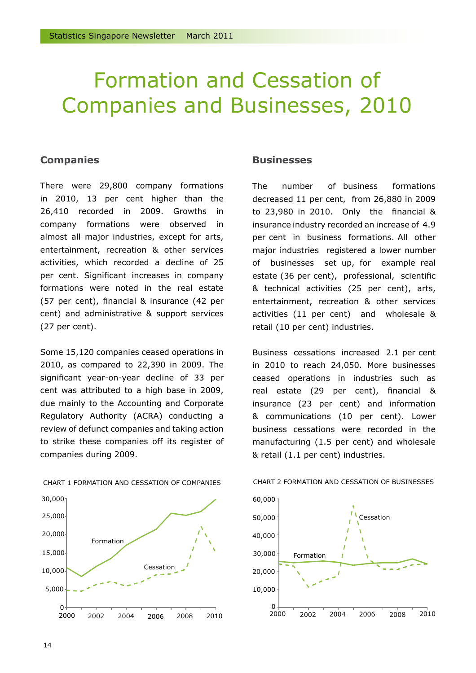## Formation and Cessation of Companies and Businesses, 2010

#### **Companies**

There were 29,800 company formations in 2010, 13 per cent higher than the 26,410 recorded in 2009. Growths in company formations were observed in almost all major industries, except for arts, entertainment, recreation & other services activities, which recorded a decline of 25 per cent. Significant increases in company formations were noted in the real estate (57 per cent), financial & insurance (42 per cent) and administrative & support services (27 per cent).

Some 15,120 companies ceased operations in 2010, as compared to 22,390 in 2009. The significant year-on-year decline of 33 per cent was attributed to a high base in 2009, due mainly to the Accounting and Corporate Regulatory Authority (ACRA) conducting a review of defunct companies and taking action to strike these companies off its register of companies during 2009.



CHART 1 FORMATION AND CESSATION OF COMPANIES

#### **Businesses**

The number of business formations decreased 11 per cent, from 26,880 in 2009 to 23,980 in 2010. Only the financial & insurance industry recorded an increase of 4.9 per cent in business formations. All other major industries registered a lower number of businesses set up, for example real estate (36 per cent), professional, scientific & technical activities (25 per cent), arts, entertainment, recreation & other services activities (11 per cent) and wholesale & retail (10 per cent) industries.

Business cessations increased 2.1 per cent in 2010 to reach 24,050. More businesses ceased operations in industries such as real estate (29 per cent), financial & insurance (23 per cent) and information & communications (10 per cent). Lower business cessations were recorded in the manufacturing (1.5 per cent) and wholesale & retail (1.1 per cent) industries.



#### CHART 2 FORMATION AND CESSATION OF BUSINESSES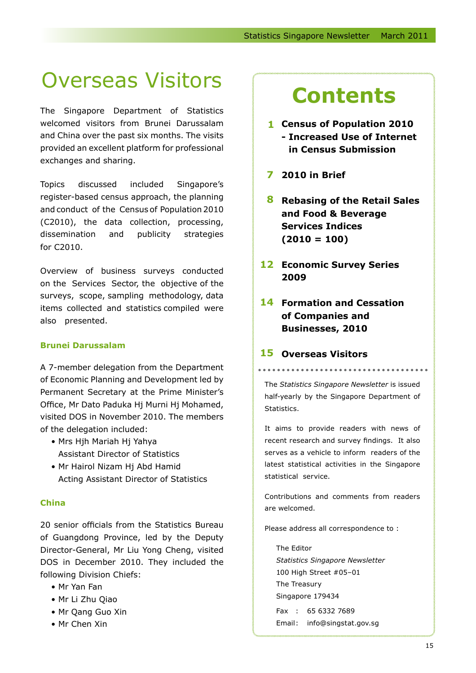# **Overseas Visitors Contents**

The Singapore Department of Statistics welcomed visitors from Brunei Darussalam and China over the past six months. The visits provided an excellent platform for professional exchanges and sharing.

Topics discussed included Singapore's register-based census approach, the planning and conduct of the Census of Population 2010 (C2010), the data collection, processing, dissemination and publicity strategies for C2010.

Overview of business surveys conducted on the Services Sector, the objective of the surveys, scope, sampling methodology, data items collected and statistics compiled were also presented.

#### **Brunei Darussalam**

A 7-member delegation from the Department of Economic Planning and Development led by Permanent Secretary at the Prime Minister's Office, Mr Dato Paduka Hj Murni Hj Mohamed, visited DOS in November 2010. The members of the delegation included:

- Mrs Hjh Mariah Hj Yahya Assistant Director of Statistics
- Mr Hairol Nizam Hj Abd Hamid Acting Assistant Director of Statistics

#### **China**

20 senior officials from the Statistics Bureau of Guangdong Province, led by the Deputy Director-General, Mr Liu Yong Cheng, visited DOS in December 2010. They included the following Division Chiefs:

- Mr Yan Fan
- Mr Li Zhu Qiao
- Mr Qang Guo Xin
- Mr Chen Xin

- **Census of Population 2010 1 - Increased Use of Internet in Census Submission**
- **2010 in Brief 7**
- **Rebasing of the Retail Sales 8 and Food & Beverage Services Indices (2010 = 100)**
- **12 Economic Survey Series 2009**
- 14 Formation and Cessation **of Companies and Businesses, 2010**

#### **Overseas Visitors 15**

The *Statistics Singapore Newsletter* is issued half-yearly by the Singapore Department of Statistics.

It aims to provide readers with news of recent research and survey findings. It also serves as a vehicle to inform readers of the latest statistical activities in the Singapore statistical service.

Contributions and comments from readers are welcomed.

Please address all correspondence to :

The Editor *Statistics Singapore Newsletter* 100 High Street #05–01 The Treasury Singapore 179434 Fax : 65 6332 7689 Email: info@singstat.gov.sg